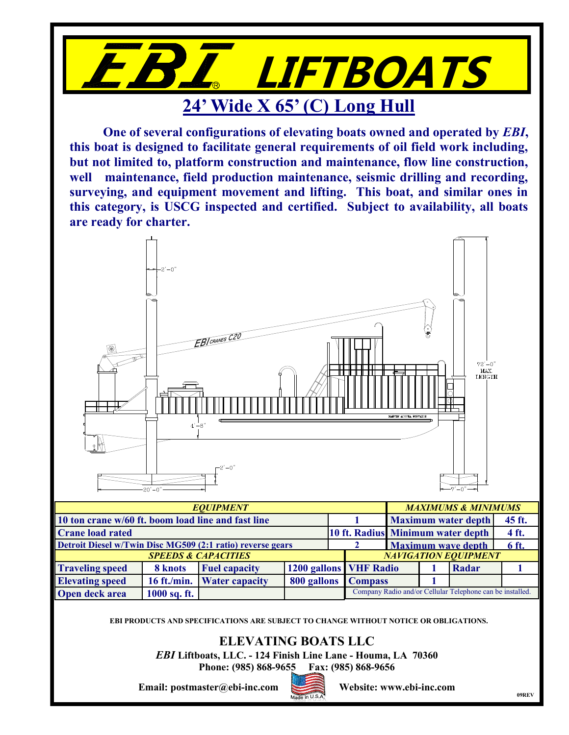

**One of several configurations of elevating boats owned and operated by** *EBI***, this boat is designed to facilitate general requirements of oil field work including, but not limited to, platform construction and maintenance, flow line construction, well maintenance, field production maintenance, seismic drilling and recording, surveying, and equipment movement and lifting. This boat, and similar ones in this category, is USCG inspected and certified. Subject to availability, all boats are ready for charter.**



| <b>Crane load rated</b>                                    | 10 ft. Radius Minimum water depth |                                |  | 4 ft. |                                                           |                             |  |       |  |  |
|------------------------------------------------------------|-----------------------------------|--------------------------------|--|-------|-----------------------------------------------------------|-----------------------------|--|-------|--|--|
| Detroit Diesel w/Twin Disc MG509 (2:1 ratio) reverse gears |                                   | <b>Maximum wave depth</b>      |  |       | 6 ft.                                                     |                             |  |       |  |  |
|                                                            |                                   | <b>SPEEDS &amp; CAPACITIES</b> |  |       |                                                           | <b>NAVIGATION EQUIPMENT</b> |  |       |  |  |
| <b>Traveling speed</b>                                     | 8 knots                           | <b>Fuel capacity</b>           |  |       | <b>1200 gallons VHF Radio</b>                             |                             |  | Radar |  |  |
| <b>Elevating speed</b>                                     |                                   | 16 ft./min. Water capacity     |  |       | 800 gallons Compass                                       |                             |  |       |  |  |
| <b>Open deck area</b>                                      | $1000$ sq. ft.                    |                                |  |       | Company Radio and/or Cellular Telephone can be installed. |                             |  |       |  |  |

**EBI PRODUCTS AND SPECIFICATIONS ARE SUBJECT TO CHANGE WITHOUT NOTICE OR OBLIGATIONS.**

## **ELEVATING BOATS LLC**

*EBI* **Liftboats, LLC. - 124 Finish Line Lane - Houma, LA 70360**

**Phone: (985) 868-9655 Fax: (985) 868-9656**

**Email: postmaster@ebi-inc.com Website: www.ebi-inc.com**